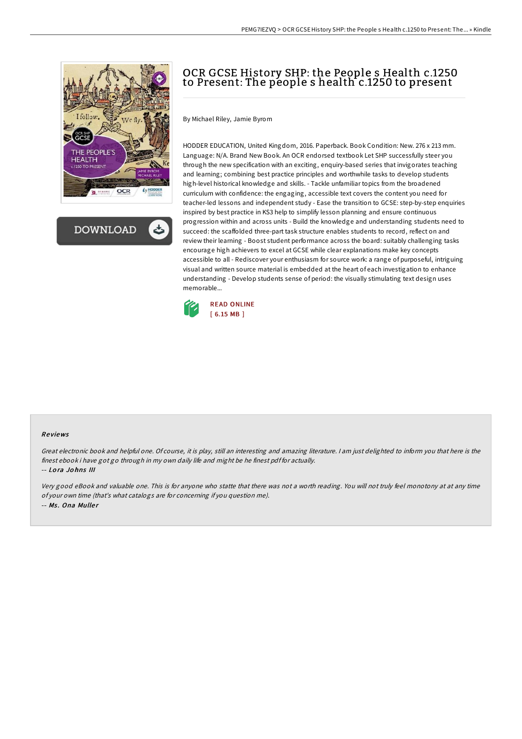



# OCR GCSE History SHP: the People s Health c.1250 to Present: The people s health c.1250 to present

By Michael Riley, Jamie Byrom

HODDER EDUCATION, United Kingdom, 2016. Paperback. Book Condition: New. 276 x 213 mm. Language: N/A. Brand New Book. An OCR endorsed textbook Let SHP successfully steer you through the new specification with an exciting, enquiry-based series that invigorates teaching and learning; combining best practice principles and worthwhile tasks to develop students high-level historical knowledge and skills. - Tackle unfamiliar topics from the broadened curriculum with confidence: the engaging, accessible text covers the content you need for teacher-led lessons and independent study - Ease the transition to GCSE: step-by-step enquiries inspired by best practice in KS3 help to simplify lesson planning and ensure continuous progression within and across units - Build the knowledge and understanding students need to succeed: the scaffolded three-part task structure enables students to record, reflect on and review their learning - Boost student performance across the board: suitably challenging tasks encourage high achievers to excel at GCSE while clear explanations make key concepts accessible to all - Rediscover your enthusiasm for source work: a range of purposeful, intriguing visual and written source material is embedded at the heart of each investigation to enhance understanding - Develop students sense of period: the visually stimulating text design uses memorable...



## Re views

Great electronic book and helpful one. Of course, it is play, still an interesting and amazing literature. <sup>I</sup> am just delighted to inform you that here is the finest ebook i have got go through in my own daily life and might be he finest pdf for actually.

-- Lo ra Jo hns III

Very good eBook and valuable one. This is for anyone who statte that there was not <sup>a</sup> worth reading. You will not truly feel monotony at at any time of your own time (that's what catalogs are for concerning if you question me). -- Ms. Ona Muller